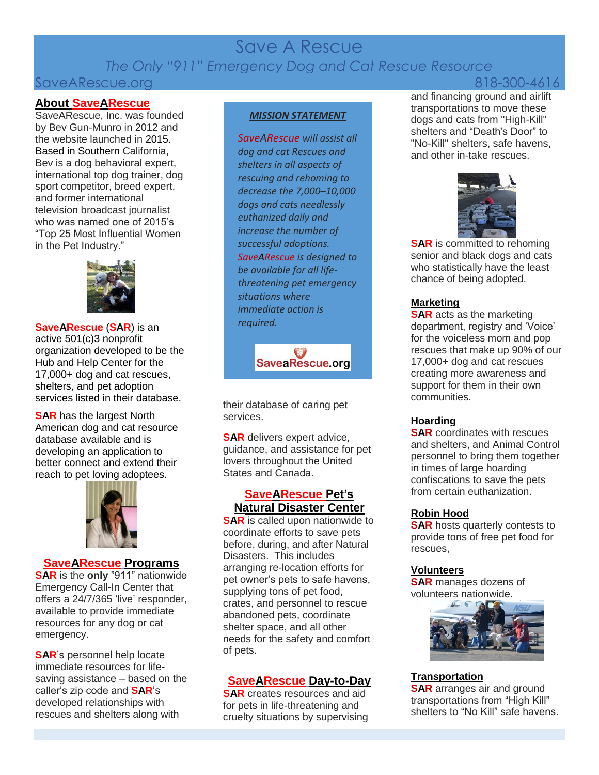# Save A Rescue *The Only "911" Emergency Dog and Cat Rescue Resource*

# SaveARescue.org 818-300-4616

### **About SaveARescue**

SaveARescue, Inc. was founded by Bev Gun-Munro in 2012 and the website launched in 2015. Based in Southern California, Bev is a dog behavioral expert, international top dog trainer, dog sport competitor, breed expert, and former international television broadcast journalist who was named one of 2015's "Top 25 Most Influential Women in the Pet Industry."



**SaveARescue** (**SAR**) is an active 501(c)3 nonprofit organization developed to be the Hub and Help Center for the 17,000+ dog and cat rescues, shelters, and pet adoption services listed in their database.

**SAR** has the largest North American dog and cat resource database available and is developing an application to better connect and extend their reach to pet loving adoptees.



### **SaveARescue Programs**

**SAR** is the **only** "911" nationwide Emergency Call-In Center that offers a 24/7/365 'live' responder, available to provide immediate resources for any dog or cat emergency.

**SAR**'s personnel help locate immediate resources for lifesaving assistance – based on the caller's zip code and **SAR**'s developed relationships with rescues and shelters along with

#### *MISSION STATEMENT*

*SaveARescue will assist all dog and cat Rescues and shelters in all aspects of rescuing and rehoming to decrease the 7,000–10,000 dogs and cats needlessly euthanized daily and increase the number of successful adoptions. SaveARescue is designed to be available for all lifethreatening pet emergency situations where immediate action is required.*

SaveaRescue.org

their database of caring pet services.

**SAR** delivers expert advice, guidance, and assistance for pet lovers throughout the United States and Canada.

### **SaveARescue Pet's Natural Disaster Center**

**SAR** is called upon nationwide to coordinate efforts to save pets before, during, and after Natural Disasters. This includes arranging re-location efforts for pet owner's pets to safe havens, supplying tons of pet food, crates, and personnel to rescue abandoned pets, coordinate shelter space, and all other needs for the safety and comfort of pets.

# **SaveARescue Day-to-Day**

**SAR** creates resources and aid for pets in life-threatening and cruelty situations by supervising

and financing ground and airlift transportations to move these dogs and cats from "High-Kill" shelters and "Death's Door" to "No-Kill" shelters, safe havens, and other in-take rescues.



**SAR** is committed to rehoming senior and black dogs and cats who statistically have the least chance of being adopted.

### **Marketing**

**SAR** acts as the marketing department, registry and 'Voice' for the voiceless mom and pop rescues that make up 90% of our 17,000+ dog and cat rescues creating more awareness and support for them in their own communities.

## **Hoarding**

**SAR** coordinates with rescues and shelters, and Animal Control personnel to bring them together in times of large hoarding confiscations to save the pets from certain euthanization.

### **Robin Hood**

**SAR** hosts quarterly contests to provide tons of free pet food for rescues,

### **Volunteers**

**SAR** manages dozens of volunteers nationwide.



## **Transportation**

**SAR** arranges air and ground transportations from "High Kill" shelters to "No Kill" safe havens.